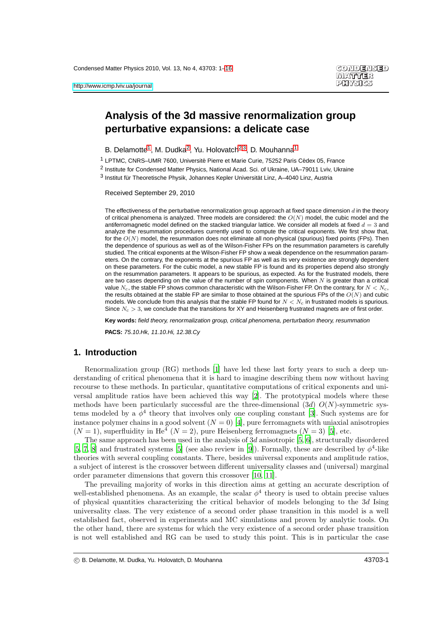# **Analysis of the 3d massive renormalization group perturbative expansions: a delicate case**

<span id="page-0-0"></span>B. Delamotte<sup>[1](#page-0-0)</sup>, M. Dudka<sup>[2](#page-0-1)</sup>, Yu. Holovatch<sup>[2,](#page-0-1)[3](#page-0-2)</sup>, D. Mouhanna<sup>1</sup>

<span id="page-0-1"></span> $1$  LPTMC, CNRS–UMR 7600, Université Pierre et Marie Curie, 75252 Paris Cédex 05, France

<span id="page-0-2"></span>2 Institute for Condensed Matter Physics, National Acad. Sci. of Ukraine, UA–79011 Lviv, Ukraine

 $3$  Institut für Theoretische Physik, Johannes Kepler Universität Linz, A–4040 Linz, Austria

Received September 29, 2010

The effectiveness of the perturbative renormalization group approach at fixed space dimension  $d$  in the theory of critical phenomena is analyzed. Three models are considered: the  $O(N)$  model, the cubic model and the antiferromagnetic model defined on the stacked triangular lattice. We consider all models at fixed  $d = 3$  and analyze the resummation procedures currently used to compute the critical exponents. We first show that, for the  $O(N)$  model, the resummation does not eliminate all non-physical (spurious) fixed points (FPs). Then the dependence of spurious as well as of the Wilson-Fisher FPs on the resummation parameters is carefully studied. The critical exponents at the Wilson-Fisher FP show a weak dependence on the resummation parameters. On the contrary, the exponents at the spurious FP as well as its very existence are strongly dependent on these parameters. For the cubic model, a new stable FP is found and its properties depend also strongly on the resummation parameters. It appears to be spurious, as expected. As for the frustrated models, there are two cases depending on the value of the number of spin components. When  $N$  is greater than a critical value  $N_c$ , the stable FP shows common characteristic with the Wilson-Fisher FP. On the contrary, for  $N < N_c$ , the results obtained at the stable FP are similar to those obtained at the spurious FPs of the  $O(N)$  and cubic models. We conclude from this analysis that the stable FP found for  $N < N_c$  in frustrated models is spurious. Since  $N_c > 3$ , we conclude that the transitions for XY and Heisenberg frustrated magnets are of first order.

**Key words:** field theory, renormalization group, critical phenomena, perturbation theory, resummation

**PACS:** 75.10.Hk, 11.10.Hi, 12.38.Cy

# **1. Introduction**

Renormalization group (RG) methods [\[1\]](#page-13-0) have led these last forty years to such a deep understanding of critical phenomena that it is hard to imagine describing them now without having recourse to these methods. In particular, quantitative computations of critical exponents and universal amplitude ratios have been achieved this way [\[2\]](#page-13-1). The prototypical models where these methods have been particularly successful are the three-dimensional  $(3d) O(N)$ -symmetric systems modeled by a  $\phi^4$  theory that involves only one coupling constant [\[3\]](#page-13-2). Such systems are for instance polymer chains in a good solvent  $(N = 0)$  [\[4\]](#page-13-3), pure ferromagnets with uniaxial anisotropies  $(N = 1)$ , superfluidity in He<sup>4</sup> ( $N = 2$ ), pure Heisenberg ferromagnets ( $N = 3$ ) [\[5](#page-13-4)], etc.

The same approach has been used in the analysis of  $3d$  anisotropic [\[5,](#page-13-4) [6\]](#page-13-5), structurally disordered [\[5,](#page-13-4) [7,](#page-13-6) [8\]](#page-13-7) and frustrated systems [\[5\]](#page-13-4) (see also review in [\[9](#page-13-8)]). Formally, these are described by  $\phi^4$ -like theories with several coupling constants. There, besides universal exponents and amplitude ratios, a subject of interest is the crossover between different universality classes and (universal) marginal order parameter dimensions that govern this crossover [\[10](#page-13-9), [11](#page-13-10)].

The prevailing majority of works in this direction aims at getting an accurate description of well-established phenomena. As an example, the scalar  $\phi^4$  theory is used to obtain precise values of physical quantities characterizing the critical behavior of models belonging to the 3d Ising universality class. The very existence of a second order phase transition in this model is a well established fact, observed in experiments and MC simulations and proven by analytic tools. On the other hand, there are systems for which the very existence of a second order phase transition is not well established and RG can be used to study this point. This is in particular the case

c B. Delamotte, M. Dudka, Yu. Holovatch, D. Mouhanna 43703-1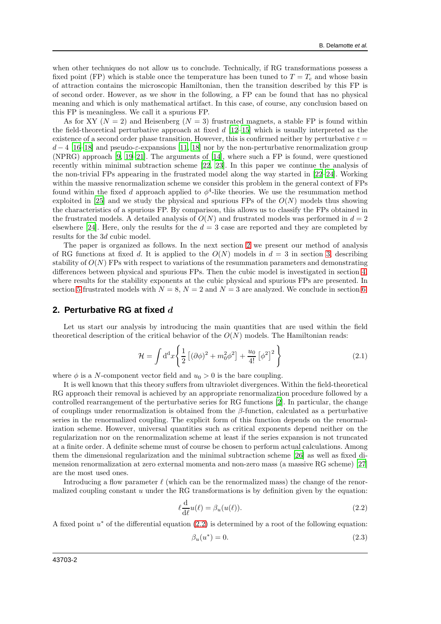when other techniques do not allow us to conclude. Technically, if RG transformations possess a fixed point (FP) which is stable once the temperature has been tuned to  $T = T_c$  and whose basin of attraction contains the microscopic Hamiltonian, then the transition described by this FP is of second order. However, as we show in the following, a FP can be found that has no physical meaning and which is only mathematical artifact. In this case, of course, any conclusion based on this FP is meaningless. We call it a spurious FP.

As for XY ( $N = 2$ ) and Heisenberg ( $N = 3$ ) frustrated magnets, a stable FP is found within the field-theoretical perturbative approach at fixed  $d$  [\[12](#page-13-11)[–15](#page-13-12)] which is usually interpreted as the existence of a second order phase transition. However, this is confirmed neither by perturbative  $\varepsilon =$  $d-4$  [\[16](#page-14-0)[–18\]](#page-14-1) and pseudo- $\varepsilon$ -expansions [\[11,](#page-13-10) [18\]](#page-14-1) nor by the non-perturbative renormalization group (NPRG) approach [\[9,](#page-13-8) [19](#page-14-2)[–21](#page-14-3)]. The arguments of [\[14\]](#page-13-13), where such a FP is found, were questioned recently within minimal subtraction scheme [\[22,](#page-14-4) [23\]](#page-14-5). In this paper we continue the analysis of the non-trivial FPs appearing in the frustrated model along the way started in [\[22](#page-14-4)[–24\]](#page-14-6). Working within the massive renormalization scheme we consider this problem in the general context of FPs found within the fixed d approach applied to  $\phi^4$ -like theories. We use the resummation method exploited in [\[25](#page-14-7)] and we study the physical and spurious FPs of the  $O(N)$  models thus showing the characteristics of a spurious FP. By comparison, this allows us to classify the FPs obtained in the frustrated models. A detailed analysis of  $O(N)$  and frustrated models was performed in  $d = 2$ elsewhere [\[24\]](#page-14-6). Here, only the results for the  $d = 3$  case are reported and they are completed by results for the 3d cubic model.

The paper is organized as follows. In the next section [2](#page-1-0) we present our method of analysis of RG functions at fixed d. It is applied to the  $O(N)$  models in  $d = 3$  in section [3,](#page-5-0) describing stability of  $O(N)$  FPs with respect to variations of the resummation parameters and demonstrating differences between physical and spurious FPs. Then the cubic model is investigated in section [4,](#page-7-0) where results for the stability exponents at the cubic physical and spurious FPs are presented. In section [5](#page-9-0) frustrated models with  $N = 8$ ,  $N = 2$  and  $N = 3$  are analyzed. We conclude in section [6.](#page-12-0)

### <span id="page-1-0"></span>**2. Perturbative RG at fixed d**

Let us start our analysis by introducing the main quantities that are used within the field theoretical description of the critical behavior of the  $O(N)$  models. The Hamiltonian reads:

<span id="page-1-3"></span>
$$
\mathcal{H} = \int d^d x \left\{ \frac{1}{2} \left[ (\partial \phi)^2 + m_0^2 \phi^2 \right] + \frac{u_0}{4!} \left[ \phi^2 \right]^2 \right\} \tag{2.1}
$$

where  $\phi$  is a N-component vector field and  $u_0 > 0$  is the bare coupling.

It is well known that this theory suffers from ultraviolet divergences. Within the field-theoretical RG approach their removal is achieved by an appropriate renormalization procedure followed by a controlled rearrangement of the perturbative series for RG functions [\[2\]](#page-13-1). In particular, the change of couplings under renormalization is obtained from the  $\beta$ -function, calculated as a perturbative series in the renormalized coupling. The explicit form of this function depends on the renormalization scheme. However, universal quantities such as critical exponents depend neither on the regularization nor on the renormalization scheme at least if the series expansion is not truncated at a finite order. A definite scheme must of course be chosen to perform actual calculations. Among them the dimensional regularization and the minimal subtraction scheme [\[26](#page-14-8)] as well as fixed dimension renormalization at zero external momenta and non-zero mass (a massive RG scheme) [\[27](#page-14-9)] are the most used ones.

Introducing a flow parameter  $\ell$  (which can be the renormalized mass) the change of the renormalized coupling constant  $u$  under the RG transformations is by definition given by the equation:

<span id="page-1-1"></span>
$$
\ell \frac{\mathrm{d}}{\mathrm{d}\ell} u(\ell) = \beta_u(u(\ell)).\tag{2.2}
$$

A fixed point  $u^*$  of the differential equation  $(2.2)$  is determined by a root of the following equation:

<span id="page-1-2"></span>
$$
\beta_u(u^*) = 0.\tag{2.3}
$$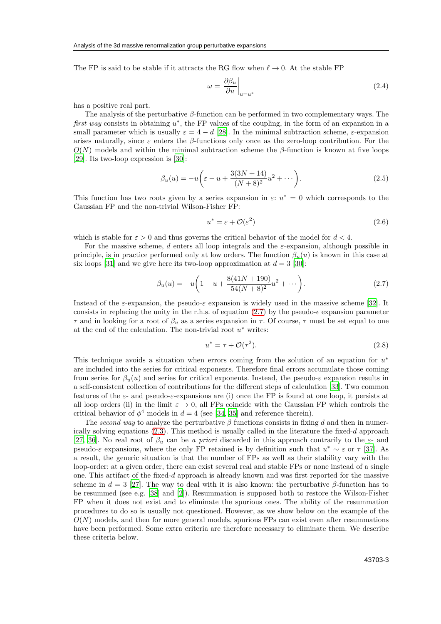The FP is said to be stable if it attracts the RG flow when  $\ell \to 0$ . At the stable FP

<span id="page-2-1"></span>
$$
\omega = \left. \frac{\partial \beta_u}{\partial u} \right|_{u = u^*}
$$
\n(2.4)

has a positive real part.

The analysis of the perturbative  $\beta$ -function can be performed in two complementary ways. The first way consists in obtaining  $u^*$ , the FP values of the coupling, in the form of an expansion in a small parameter which is usually  $\varepsilon = 4 - d$  [\[28](#page-14-10)]. In the minimal subtraction scheme,  $\varepsilon$ -expansion arises naturally, since  $\varepsilon$  enters the  $\beta$ -functions only once as the zero-loop contribution. For the  $O(N)$  models and within the minimal subtraction scheme the β-function is known at five loops [\[29\]](#page-14-11). Its two-loop expression is [\[30\]](#page-14-12):

$$
\beta_u(u) = -u \left( \varepsilon - u + \frac{3(3N + 14)}{(N + 8)^2} u^2 + \dotsb \right). \tag{2.5}
$$

This function has two roots given by a series expansion in  $\varepsilon: u^* = 0$  which corresponds to the Gaussian FP and the non-trivial Wilson-Fisher FP:

$$
u^* = \varepsilon + \mathcal{O}(\varepsilon^2) \tag{2.6}
$$

which is stable for  $\varepsilon > 0$  and thus governs the critical behavior of the model for  $d < 4$ .

For the massive scheme, d enters all loop integrals and the  $\varepsilon$ -expansion, although possible in principle, is in practice performed only at low orders. The function  $\beta_u(u)$  is known in this case at six loops [\[31\]](#page-14-13) and we give here its two-loop approximation at  $d = 3$  [\[30\]](#page-14-12):

<span id="page-2-0"></span>
$$
\beta_u(u) = -u \left( 1 - u + \frac{8(41N + 190)}{54(N + 8)^2} u^2 + \dotsb \right). \tag{2.7}
$$

Instead of the  $\varepsilon$ -expansion, the pseudo- $\varepsilon$  expansion is widely used in the massive scheme [\[32\]](#page-14-14). It consists in replacing the unity in the r.h.s. of equation  $(2.7)$  by the pseudo- $\epsilon$  expansion parameter  $\tau$  and in looking for a root of  $\beta_u$  as a series expansion in  $\tau$ . Of course,  $\tau$  must be set equal to one at the end of the calculation. The non-trivial root  $u^*$  writes:

$$
u^* = \tau + \mathcal{O}(\tau^2). \tag{2.8}
$$

This technique avoids a situation when errors coming from the solution of an equation for  $u^*$ are included into the series for critical exponents. Therefore final errors accumulate those coming from series for  $\beta_u(u)$  and series for critical exponents. Instead, the pseudo- $\varepsilon$  expansion results in a self-consistent collection of contributions for the different steps of calculation [\[33\]](#page-14-15). Two common features of the  $\varepsilon$ - and pseudo- $\varepsilon$ -expansions are (i) once the FP is found at one loop, it persists at all loop orders (ii) in the limit  $\varepsilon \to 0$ , all FPs coincide with the Gaussian FP which controls the critical behavior of  $\phi^4$  models in  $d = 4$  (see [\[34,](#page-14-16) [35\]](#page-14-17) and reference therein).

The second way to analyze the perturbative  $\beta$  functions consists in fixing d and then in numerically solving equations [\(2.3\)](#page-1-2). This method is usually called in the literature the fixed-d approach [\[27,](#page-14-9) [36\]](#page-14-18). No real root of  $\beta_u$  can be a priori discarded in this approach contrarily to the  $\varepsilon$ - and pseudo-ε expansions, where the only FP retained is by definition such that  $u^* \sim \varepsilon$  or  $\tau$  [\[37\]](#page-14-19). As a result, the generic situation is that the number of FPs as well as their stability vary with the loop-order: at a given order, there can exist several real and stable FPs or none instead of a single one. This artifact of the fixed-d approach is already known and was first reported for the massive scheme in  $d = 3$  [\[27\]](#page-14-9). The way to deal with it is also known: the perturbative β-function has to be resummed (see e.g. [\[38\]](#page-14-20) and [\[2\]](#page-13-1)). Resummation is supposed both to restore the Wilson-Fisher FP when it does not exist and to eliminate the spurious ones. The ability of the resummation procedures to do so is usually not questioned. However, as we show below on the example of the  $O(N)$  models, and then for more general models, spurious FPs can exist even after resummations have been performed. Some extra criteria are therefore necessary to eliminate them. We describe these criteria below.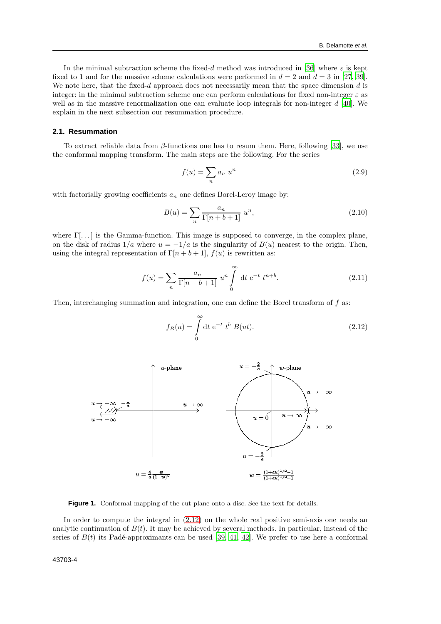In the minimal subtraction scheme the fixed-d method was introduced in [\[36](#page-14-18)] where  $\varepsilon$  is kept fixed to 1 and for the massive scheme calculations were performed in  $d = 2$  and  $d = 3$  in [\[27](#page-14-9), [39\]](#page-14-21). We note here, that the fixed- $d$  approach does not necessarily mean that the space dimension  $d$  is integer: in the minimal subtraction scheme one can perform calculations for fixed non-integer  $\varepsilon$  as well as in the massive renormalization one can evaluate loop integrals for non-integer  $d \nvert 40$ . We explain in the next subsection our resummation procedure.

### **2.1. Resummation**

To extract reliable data from  $\beta$ -functions one has to resum them. Here, following [\[33](#page-14-15)], we use the conformal mapping transform. The main steps are the following. For the series

<span id="page-3-2"></span>
$$
f(u) = \sum_{n} a_n u^n \tag{2.9}
$$

with factorially growing coefficients  $a_n$  one defines Borel-Leroy image by:

<span id="page-3-3"></span>
$$
B(u) = \sum_{n} \frac{a_n}{\Gamma[n+b+1]} u^n,
$$
\n(2.10)

where  $\Gamma[\ldots]$  is the Gamma-function. This image is supposed to converge, in the complex plane, on the disk of radius  $1/a$  where  $u = -1/a$  is the singularity of  $B(u)$  nearest to the origin. Then, using the integral representation of  $\Gamma[n+b+1]$ ,  $f(u)$  is rewritten as:

$$
f(u) = \sum_{n} \frac{a_n}{\Gamma[n+b+1]} u^n \int_{0}^{\infty} dt e^{-t} t^{n+b}.
$$
 (2.11)

Then, interchanging summation and integration, one can define the Borel transform of  $f$  as:

<span id="page-3-0"></span>
$$
f_B(u) = \int_{0}^{\infty} dt \ e^{-t} t^b B(ut).
$$
 (2.12)



<span id="page-3-1"></span>**Figure 1.** Conformal mapping of the cut-plane onto a disc. See the text for details.

In order to compute the integral in  $(2.12)$  on the whole real positive semi-axis one needs an analytic continuation of  $B(t)$ . It may be achieved by several methods. In particular, instead of the series of  $B(t)$  its Padé-approximants can be used [\[39](#page-14-21), [41,](#page-14-23) [42](#page-14-24)]. We prefer to use here a conformal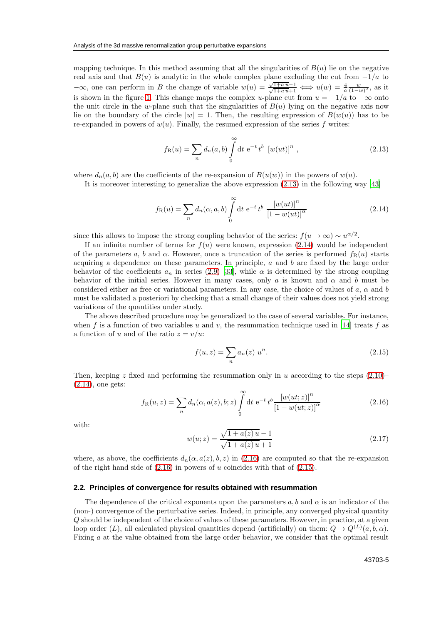mapping technique. In this method assuming that all the singularities of  $B(u)$  lie on the negative real axis and that  $B(u)$  is analytic in the whole complex plane excluding the cut from  $-1/a$  to  $-\infty$ , one can perform in B the change of variable  $w(u) = \frac{\sqrt{3}}{2}$  $\frac{\sqrt{1+a u-1}}{\sqrt{1+a u+1}} \iff u(w) = \frac{4}{a} \frac{w}{(1-w)^2}$ , as it is shown in the figure [1.](#page-3-1) This change maps the complex u-plane cut from  $u = -1/a$  to  $-\infty$  onto the unit circle in the w-plane such that the singularities of  $B(u)$  lying on the negative axis now lie on the boundary of the circle  $|w| = 1$ . Then, the resulting expression of  $B(w(u))$  has to be re-expanded in powers of  $w(u)$ . Finally, the resumed expression of the series f writes:

<span id="page-4-0"></span>
$$
f_{\mathcal{R}}(u) = \sum_{n} d_{n}(a, b) \int_{0}^{\infty} dt \ e^{-t} t^{b} \ [w(ut)]^{n} , \qquad (2.13)
$$

where  $d_n(a, b)$  are the coefficients of the re-expansion of  $B(u(w))$  in the powers of  $w(u)$ .

It is moreover interesting to generalize the above expression [\(2.13\)](#page-4-0) in the following way [\[43](#page-14-25)]

<span id="page-4-1"></span>
$$
f_{\mathcal{R}}(u) = \sum_{n} d_{n}(\alpha, a, b) \int_{0}^{\infty} dt \ e^{-t} t^{b} \ \frac{[w(ut)]^{n}}{[1 - w(ut)]^{\alpha}}
$$
(2.14)

since this allows to impose the strong coupling behavior of the series:  $f(u \to \infty) \sim u^{\alpha/2}$ .

If an infinite number of terms for  $f(u)$  were known, expression [\(2.14\)](#page-4-1) would be independent of the parameters a, b and  $\alpha$ . However, once a truncation of the series is performed  $f_R(u)$  starts acquiring a dependence on these parameters. In principle,  $a$  and  $b$  are fixed by the large order behavior of the coefficients  $a_n$  in series [\(2.9\)](#page-3-2) [\[33\]](#page-14-15), while  $\alpha$  is determined by the strong coupling behavior of the initial series. However in many cases, only a is known and  $\alpha$  and b must be considered either as free or variational parameters. In any case, the choice of values of a,  $\alpha$  and b must be validated a posteriori by checking that a small change of their values does not yield strong variations of the quantities under study.

The above described procedure may be generalized to the case of several variables. For instance, when f is a function of two variables u and v, the resummation technique used in [\[14\]](#page-13-13) treats f as a function of u and of the ratio  $z = v/u$ :

<span id="page-4-3"></span>
$$
f(u, z) = \sum_{n} a_n(z) u^n.
$$
 (2.15)

Then, keeping z fixed and performing the resummation only in u according to the steps  $(2.10)$ [\(2.14\)](#page-4-1), one gets:

<span id="page-4-2"></span>
$$
f_{\mathcal{R}}(u, z) = \sum_{n} d_{n}(\alpha, a(z), b; z) \int_{0}^{\infty} dt \ e^{-t} t^{b} \frac{[w(ut; z)]^{n}}{[1 - w(ut; z)]^{\alpha}}
$$
(2.16)

with:

<span id="page-4-4"></span>
$$
w(u; z) = \frac{\sqrt{1 + a(z)u} - 1}{\sqrt{1 + a(z)u} + 1}
$$
\n(2.17)

where, as above, the coefficients  $d_n(\alpha, a(z), b, z)$  in [\(2.16\)](#page-4-2) are computed so that the re-expansion of the right hand side of  $(2.16)$  in powers of u coincides with that of  $(2.15)$ .

#### **2.2. Principles of convergence for results obtained with resummation**

The dependence of the critical exponents upon the parameters  $a, b$  and  $\alpha$  is an indicator of the (non-) convergence of the perturbative series. Indeed, in principle, any converged physical quantity Q should be independent of the choice of values of these parameters. However, in practice, at a given loop order (L), all calculated physical quantities depend (artificially) on them:  $Q \to Q^{(L)}(a, b, \alpha)$ . Fixing a at the value obtained from the large order behavior, we consider that the optimal result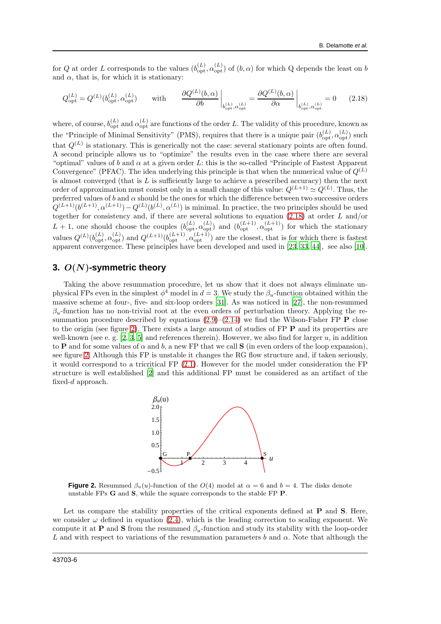for Q at order L corresponds to the values  $(b_{opt}^{(L)}, \alpha_{opt}^{(L)})$  of  $(b, \alpha)$  for which Q depends the least on b and  $\alpha$ , that is, for which it is stationary:

<span id="page-5-1"></span>
$$
Q_{\rm opt}^{(L)} = Q^{(L)}(b_{\rm opt}^{(L)}, \alpha_{\rm opt}^{(L)}) \qquad \text{with} \qquad \frac{\partial Q^{(L)}(b, \alpha)}{\partial b} \bigg|_{b_{\rm opt}^{(L)}, \alpha_{\rm opt}^{(L)}} = \frac{\partial Q^{(L)}(b, \alpha)}{\partial \alpha} \bigg|_{b_{\rm opt}^{(L)}, \alpha_{\rm opt}^{(L)}} = 0 \qquad (2.18)
$$

where, of course,  $b_{\text{opt}}^{(L)}$  and  $\alpha_{\text{opt}}^{(L)}$  are functions of the order L. The validity of this procedure, known as the "Principle of Minimal Sensitivity" (PMS), requires that there is a unique pair  $(b_{\text{opt}}^{(L)}, \alpha_{\text{opt}}^{(L)})$  such that  $Q^{(L)}$  is stationary. This is generically not the case: several stationary points are often found. A second principle allows us to "optimize" the results even in the case where there are several "optimal" values of b and  $\alpha$  at a given order L: this is the so-called "Principle of Fastest Apparent" Convergence" (PFAC). The idea underlying this principle is that when the numerical value of  $Q^{(L)}$ is almost converged (that is  $L$  is sufficiently large to achieve a prescribed accuracy) then the next order of approximation must consist only in a small change of this value:  $Q^{(L+1)} \simeq Q^{(L)}$ . Thus, the preferred values of b and  $\alpha$  should be the ones for which the difference between two successive orders  $Q^{(L+1)}(b^{(L+1)}, \alpha^{(L+1)}) - Q^{(L)}(b^{(L)}, \alpha^{(L)})$  is minimal. In practice, the two principles should be used together for consistency and, if there are several solutions to equation  $(2.18)$  at order L and/or  $L+1$ , one should choose the couples  $(b_{opt}^{(L)}, \alpha_{opt}^{(L)})$  and  $(b_{opt}^{(L+1)}, \alpha_{opt}^{(L+1)})$  for which the stationary values  $Q^{(L)}(b_{\text{opt}}^{(L)}, \alpha_{\text{opt}}^{(L)})$  and  $Q^{(L+1)}(b_{\text{opt}}^{(L+1)}, \alpha_{\text{opt}}^{(L+1)})$  are the closest, that is for which there is fastest apparent convergence. These principles have been developed and used in [\[23,](#page-14-5) [33](#page-14-15), [44](#page-14-26)], see also [\[10\]](#page-13-9).

# <span id="page-5-0"></span>**3.** O(N)**-symmetric theory**

Taking the above resummation procedure, let us show that it does not always eliminate unphysical FPs even in the simplest  $\phi^4$  model in  $d=3$ . We study the  $\beta_u$ -function obtained within the massive scheme at four-, five- and six-loop orders [\[31\]](#page-14-13). As was noticed in [\[27\]](#page-14-9), the non-resummed  $\beta_u$ -function has no non-trivial root at the even orders of perturbation theory. Applying the resummation procedure described by equations  $(2.9)$ – $(2.14)$  we find the Wilson-Fisher FP P close to the origin (see figure [2\)](#page-5-2). There exists a large amount of studies of FP P and its properties are well-known (see e.g.  $[2, 3, 5]$  $[2, 3, 5]$  $[2, 3, 5]$  $[2, 3, 5]$  and references therein). However, we also find for larger u, in addition to P and for some values of  $\alpha$  and b, a new FP that we call S (in even orders of the loop expansion), see figure [2.](#page-5-2) Although this FP is unstable it changes the RG flow structure and, if taken seriously, it would correspond to a tricritical FP [\(2.1\)](#page-1-3). However for the model under consideration the FP structure is well established [\[2\]](#page-13-1) and this additional FP must be considered as an artifact of the fixed-d approach.



<span id="page-5-2"></span>**Figure 2.** Resummed  $\beta_u(u)$ -function of the  $O(4)$  model at  $\alpha = 6$  and  $b = 4$ . The disks denote unstable FPs G and S, while the square corresponds to the stable FP P.

Let us compare the stability properties of the critical exponents defined at **P** and **S**. Here, we consider  $\omega$  defined in equation [\(2.4\)](#page-2-1), which is the leading correction to scaling exponent. We compute it at **P** and **S** from the resummed  $\beta_u$ -function and study its stability with the loop-order L and with respect to variations of the resummation parameters b and  $\alpha$ . Note that although the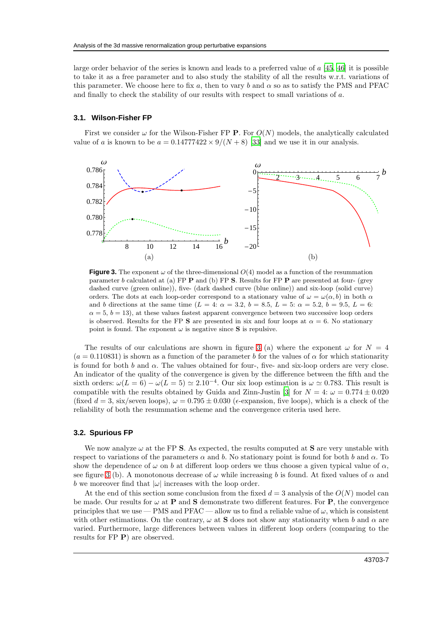large order behavior of the series is known and leads to a preferred value of a [\[45](#page-14-27), [46\]](#page-14-28) it is possible to take it as a free parameter and to also study the stability of all the results w.r.t. variations of this parameter. We choose here to fix a, then to vary b and  $\alpha$  so as to satisfy the PMS and PFAC and finally to check the stability of our results with respect to small variations of a.

### **3.1. Wilson-Fisher FP**

First we consider  $\omega$  for the Wilson-Fisher FP **P**. For  $O(N)$  models, the analytically calculated value of a is known to be  $a = 0.14777422 \times 9/(N+8)$  [\[33\]](#page-14-15) and we use it in our analysis.



<span id="page-6-0"></span>**Figure 3.** The exponent  $\omega$  of the three-dimensional  $O(4)$  model as a function of the resummation parameter b calculated at (a) FP  $\bf{P}$  and (b) FP  $\bf{S}$ . Results for FP  $\bf{P}$  are presented at four- (grey dashed curve (green online)), five- (dark dashed curve (blue online)) and six-loop (solid curve) orders. The dots at each loop-order correspond to a stationary value of  $\omega = \omega(\alpha, b)$  in both  $\alpha$ and b directions at the same time ( $L = 4$ :  $\alpha = 3.2$ ,  $b = 8.5$ ,  $L = 5$ :  $\alpha = 5.2$ ,  $b = 9.5$ ,  $L = 6$ :  $\alpha = 5, b = 13$ , at these values fastest apparent convergence between two successive loop orders is observed. Results for the FP S are presented in six and four loops at  $\alpha = 6$ . No stationary point is found. The exponent  $\omega$  is negative since **S** is repulsive.

The results of our calculations are shown in figure [3](#page-6-0) (a) where the exponent  $\omega$  for  $N = 4$  $(a = 0.110831)$  is shown as a function of the parameter b for the values of  $\alpha$  for which stationarity is found for both b and  $\alpha$ . The values obtained for four-, five- and six-loop orders are very close. An indicator of the quality of the convergence is given by the difference between the fifth and the sixth orders:  $\omega(L=6) - \omega(L=5) \simeq 2.10^{-4}$ . Our six loop estimation is  $\omega \simeq 0.783$ . This result is compatible with the results obtained by Guida and Zinn-Justin [\[3](#page-13-2)] for  $N = 4$ :  $\omega = 0.774 \pm 0.020$ (fixed  $d = 3$ , six/seven loops),  $\omega = 0.795 \pm 0.030$  ( $\epsilon$ -expansion, five loops), which is a check of the reliability of both the resummation scheme and the convergence criteria used here.

# **3.2. Spurious FP**

We now analyze  $\omega$  at the FP S. As expected, the results computed at S are very unstable with respect to variations of the parameters  $\alpha$  and b. No stationary point is found for both b and  $\alpha$ . To show the dependence of  $\omega$  on b at different loop orders we thus choose a given typical value of  $\alpha$ , see figure [3](#page-6-0) (b). A monotonous decrease of  $\omega$  while increasing b is found. At fixed values of  $\alpha$  and b we moreover find that  $|\omega|$  increases with the loop order.

At the end of this section some conclusion from the fixed  $d = 3$  analysis of the  $O(N)$  model can be made. Our results for  $\omega$  at **P** and **S** demonstrate two different features. For **P**, the convergence principles that we use — PMS and PFAC — allow us to find a reliable value of  $\omega$ , which is consistent with other estimations. On the contrary,  $\omega$  at **S** does not show any stationarity when b and  $\alpha$  are varied. Furthermore, large differences between values in different loop orders (comparing to the results for FP P) are observed.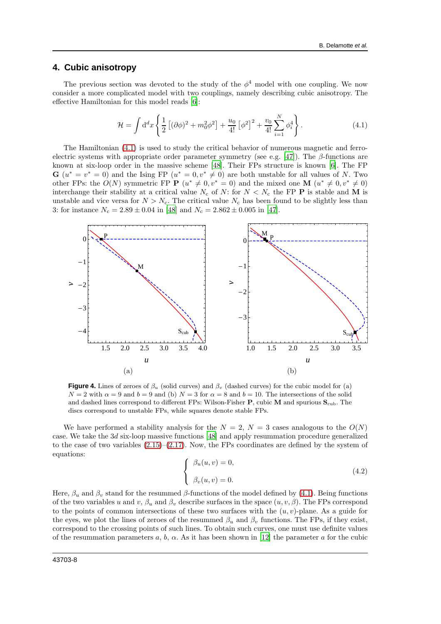# <span id="page-7-0"></span>**4. Cubic anisotropy**

The previous section was devoted to the study of the  $\phi^4$  model with one coupling. We now consider a more complicated model with two couplings, namely describing cubic anisotropy. The effective Hamiltonian for this model reads [\[6\]](#page-13-5):

<span id="page-7-1"></span>
$$
\mathcal{H} = \int d^d x \left\{ \frac{1}{2} \left[ (\partial \phi)^2 + m_0^2 \phi^2 \right] + \frac{u_0}{4!} \left[ \phi^2 \right]^2 + \frac{v_0}{4!} \sum_{i=1}^N \phi_i^4 \right\}.
$$
 (4.1)

The Hamiltonian [\(4.1\)](#page-7-1) is used to study the critical behavior of numerous magnetic and ferro-electric systems with appropriate order parameter symmetry (see e.g. [\[47](#page-14-29)]). The  $\beta$ -functions are known at six-loop order in the massive scheme [\[48\]](#page-14-30). Their FPs structure is known [\[6\]](#page-13-5). The FP  $G(u^* = v^* = 0)$  and the Ising FP  $(u^* = 0, v^* \neq 0)$  are both unstable for all values of N. Two other FPs: the  $O(N)$  symmetric FP  $P(u^* \neq 0, v^* = 0)$  and the mixed one M  $(u^* \neq 0, v^* \neq 0)$ interchange their stability at a critical value  $N_c$  of N: for  $N < N_c$  the FP P is stable and M is unstable and vice versa for  $N > N_c$ . The critical value  $N_c$  has been found to be slightly less than 3: for instance  $N_c = 2.89 \pm 0.04$  in [\[48\]](#page-14-30) and  $N_c = 2.862 \pm 0.005$  in [\[47\]](#page-14-29).



<span id="page-7-2"></span>**Figure 4.** Lines of zeroes of  $\beta_u$  (solid curves) and  $\beta_v$  (dashed curves) for the cubic model for (a)  $N = 2$  with  $\alpha = 9$  and  $b = 9$  and (b)  $N = 3$  for  $\alpha = 8$  and  $b = 10$ . The intersections of the solid and dashed lines correspond to different FPs: Wilson-Fisher **P**, cubic **M** and spurious  $S_{\text{cub}}$ . The discs correspond to unstable FPs, while squares denote stable FPs.

We have performed a stability analysis for the  $N = 2$ ,  $N = 3$  cases analogous to the  $O(N)$ case. We take the  $3d$  six-loop massive functions [\[48\]](#page-14-30) and apply resummation procedure generalized to the case of two variables  $(2.15)$ – $(2.17)$ . Now, the FPs coordinates are defined by the system of equations:

$$
\begin{cases}\n\beta_u(u,v) = 0, \\
\beta_v(u,v) = 0.\n\end{cases}
$$
\n(4.2)

Here,  $\beta_u$  and  $\beta_v$  stand for the resummed  $\beta$ -functions of the model defined by [\(4.1\)](#page-7-1). Being functions of the two variables u and v,  $\beta_u$  and  $\beta_v$  describe surfaces in the space  $(u, v, \beta)$ . The FPs correspond to the points of common intersections of these two surfaces with the  $(u, v)$ -plane. As a guide for the eyes, we plot the lines of zeroes of the resummed  $\beta_u$  and  $\beta_v$  functions. The FPs, if they exist, correspond to the crossing points of such lines. To obtain such curves, one must use definite values of the resummation parameters a, b,  $\alpha$ . As it has been shown in [\[12\]](#page-13-11) the parameter a for the cubic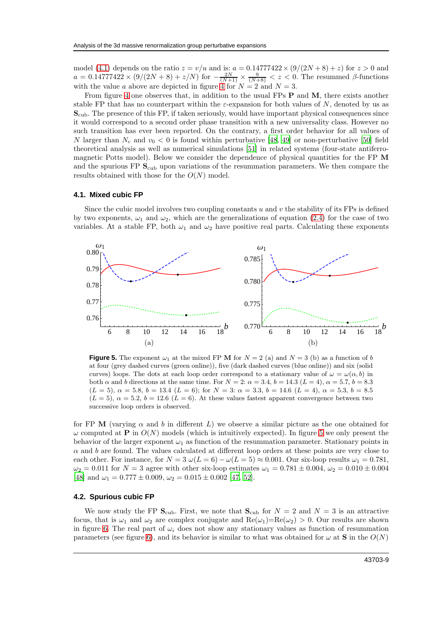model [\(4.1\)](#page-7-1) depends on the ratio  $z = v/u$  and is:  $a = 0.14777422 \times (9/(2N+8) + z)$  for  $z > 0$  and  $a = 0.14777422 \times (9/(2N+8) + z/N)$  for  $-\frac{2N}{(N+1)} \times \frac{9}{(N+8)} < z < 0$ . The resummed β-functions with the value a above are depicted in figure [4](#page-7-2) for  $N = 2$  and  $N = 3$ .

From figure [4](#page-7-2) one observes that, in addition to the usual FPs **P** and M, there exists another stable FP that has no counterpart within the  $\varepsilon$ -expansion for both values of N, denoted by us as  $S<sub>cub</sub>$ . The presence of this FP, if taken seriously, would have important physical consequences since it would correspond to a second order phase transition with a new universality class. However no such transition has ever been reported. On the contrary, a first order behavior for all values of N larger than  $N_c$  and  $v_0 < 0$  is found within perturbative [\[48,](#page-14-30) [49\]](#page-14-31) or non-perturbative [\[50\]](#page-14-32) field theoretical analysis as well as numerical simulations [\[51\]](#page-14-33) in related systems (four-state antiferromagnetic Potts model). Below we consider the dependence of physical quantities for the FP M and the spurious FP  $S<sub>cub</sub>$  upon variations of the resummation parameters. We then compare the results obtained with those for the  $O(N)$  model.

#### **4.1. Mixed cubic FP**

Since the cubic model involves two coupling constants  $u$  and  $v$  the stability of its FPs is defined by two exponents,  $\omega_1$  and  $\omega_2$ , which are the generalizations of equation [\(2.4\)](#page-2-1) for the case of two variables. At a stable FP, both  $\omega_1$  and  $\omega_2$  have positive real parts. Calculating these exponents



<span id="page-8-0"></span>**Figure 5.** The exponent  $\omega_1$  at the mixed FP M for  $N = 2$  (a) and  $N = 3$  (b) as a function of b at four (grey dashed curves (green online)), five (dark dashed curves (blue online)) and six (solid curves) loops. The dots at each loop order correspond to a stationary value of  $\omega = \omega(\alpha, b)$  in both  $\alpha$  and b directions at the same time. For  $N = 2$ :  $\alpha = 3.4$ ,  $b = 14.3$  ( $L = 4$ ),  $\alpha = 5.7$ ,  $b = 8.3$  $(L = 5)$ ,  $\alpha = 5.8$ ,  $b = 13.4$   $(L = 6)$ ; for  $N = 3$ :  $\alpha = 3.3$ ,  $b = 14.6$   $(L = 4)$ ,  $\alpha = 5.3$ ,  $b = 8.5$  $(L = 5)$ ,  $\alpha = 5.2$ ,  $b = 12.6$   $(L = 6)$ . At these values fastest apparent convergence between two successive loop orders is observed.

for FP M (varying  $\alpha$  and b in different L) we observe a similar picture as the one obtained for  $\omega$  computed at **P** in  $O(N)$  models (which is intuitively expected). In figure [5](#page-8-0) we only present the behavior of the larger exponent  $\omega_1$  as function of the resummation parameter. Stationary points in  $\alpha$  and b are found. The values calculated at different loop orders at these points are very close to each other. For instance, for  $N = 3 \omega (L = 6) - \omega (L = 5) \approx 0.001$ . Our six-loop results  $\omega_1 = 0.781$ ,  $\omega_2 = 0.011$  for  $N = 3$  agree with other six-loop estimates  $\omega_1 = 0.781 \pm 0.004$ ,  $\omega_2 = 0.010 \pm 0.004$ [\[48\]](#page-14-30) and  $\omega_1 = 0.777 \pm 0.009$ ,  $\omega_2 = 0.015 \pm 0.002$  [\[47,](#page-14-29) [52\]](#page-14-34).

### **4.2. Spurious cubic FP**

We now study the FP  $S_{\text{cub}}$ . First, we note that  $S_{\text{cub}}$  for  $N=2$  and  $N=3$  is an attractive focus, that is  $\omega_1$  and  $\omega_2$  are complex conjugate and  $\text{Re}(\omega_1)=\text{Re}(\omega_2) > 0$ . Our results are shown in figure [6.](#page-9-1) The real part of  $\omega_i$  does not show any stationary values as function of resummation parameters (see figure [6\)](#page-9-1), and its behavior is similar to what was obtained for  $\omega$  at **S** in the  $O(N)$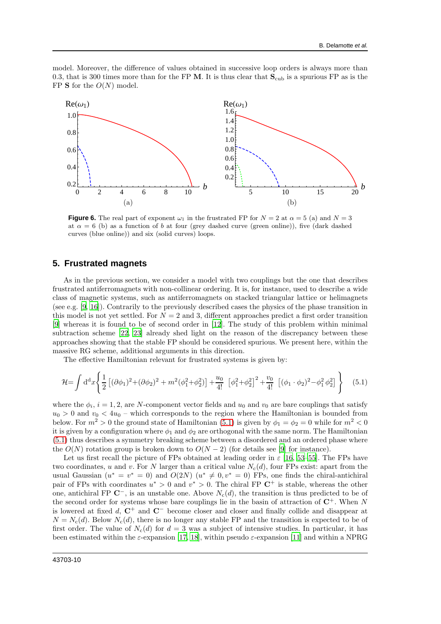model. Moreover, the difference of values obtained in successive loop orders is always more than 0.3, that is 300 times more than for the FP M. It is thus clear that  $S_{\text{cub}}$  is a spurious FP as is the FP S for the  $O(N)$  model.



<span id="page-9-1"></span>**Figure 6.** The real part of exponent  $\omega_1$  in the frustrated FP for  $N = 2$  at  $\alpha = 5$  (a) and  $N = 3$ at  $\alpha = 6$  (b) as a function of b at four (grey dashed curve (green online)), five (dark dashed curves (blue online)) and six (solid curves) loops.

# <span id="page-9-0"></span>**5. Frustrated magnets**

As in the previous section, we consider a model with two couplings but the one that describes frustrated antiferromagnets with non-collinear ordering. It is, for instance, used to describe a wide class of magnetic systems, such as antiferromagnets on stacked triangular lattice or helimagnets (see e.g. [\[9](#page-13-8), [16\]](#page-14-0)). Contrarily to the previously described cases the physics of the phase transition in this model is not yet settled. For  $N = 2$  and 3, different approaches predict a first order transition [\[9\]](#page-13-8) whereas it is found to be of second order in [\[12](#page-13-11)]. The study of this problem within minimal subtraction scheme [\[22,](#page-14-4) [23](#page-14-5)] already shed light on the reason of the discrepancy between these approaches showing that the stable FP should be considered spurious. We present here, within the massive RG scheme, additional arguments in this direction.

The effective Hamiltonian relevant for frustrated systems is given by:

<span id="page-9-2"></span>
$$
\mathcal{H} = \int d^d x \left\{ \frac{1}{2} \left[ (\partial \phi_1)^2 + (\partial \phi_2)^2 + m^2 (\phi_1^2 + \phi_2^2) \right] + \frac{u_0}{4!} \left[ \phi_1^2 + \phi_2^2 \right]^2 + \frac{v_0}{4!} \left[ (\phi_1 \cdot \phi_2)^2 - \phi_1^2 \phi_2^2 \right] \right\} \tag{5.1}
$$

where the  $\phi_i$ ,  $i = 1, 2$ , are N-component vector fields and  $u_0$  and  $v_0$  are bare couplings that satisfy  $u_0 > 0$  and  $v_0 < 4u_0$  – which corresponds to the region where the Hamiltonian is bounded from below. For  $m^2 > 0$  the ground state of Hamiltonian [\(5.1\)](#page-9-2) is given by  $\phi_1 = \phi_2 = 0$  while for  $m^2 < 0$ it is given by a configuration where  $\phi_1$  and  $\phi_2$  are orthogonal with the same norm. The Hamiltonian [\(5.1\)](#page-9-2) thus describes a symmetry breaking scheme between a disordered and an ordered phase where the  $O(N)$  rotation group is broken down to  $O(N-2)$  (for details see [\[9\]](#page-13-8) for instance).

Let us first recall the picture of FPs obtained at leading order in  $\varepsilon$  [\[16,](#page-14-0) [53](#page-14-35)[–55\]](#page-14-36). The FPs have two coordinates, u and v. For N larger than a critical value  $N_c(d)$ , four FPs exist: apart from the usual Gaussian  $(u^* = v^* = 0)$  and  $O(2N)$   $(u^* \neq 0, v^* = 0)$  FPs, one finds the chiral-antichiral pair of FPs with coordinates  $u^* > 0$  and  $v^* > 0$ . The chiral FP  $\mathbb{C}^+$  is stable, whereas the other one, antichiral FP  $\mathbb{C}^-$ , is an unstable one. Above  $N_c(d)$ , the transition is thus predicted to be of the second order for systems whose bare couplings lie in the basin of attraction of  $\mathbb{C}^+$ . When N is lowered at fixed d,  $\mathbb{C}^+$  and  $\mathbb{C}^-$  become closer and closer and finally collide and disappear at  $N = N<sub>c</sub>(d)$ . Below  $N<sub>c</sub>(d)$ , there is no longer any stable FP and the transition is expected to be of first order. The value of  $N_c(d)$  for  $d = 3$  was a subject of intensive studies. In particular, it has been estimated within the  $\varepsilon$ -expansion [\[17,](#page-14-37) [18](#page-14-1)], within pseudo  $\varepsilon$ -expansion [\[11\]](#page-13-10) and within a NPRG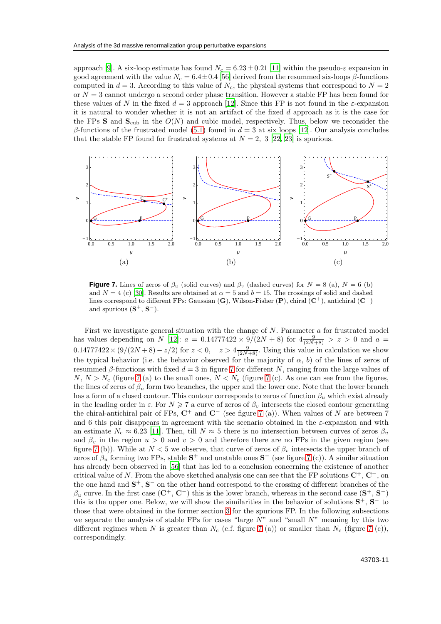approach [\[9\]](#page-13-8). A six-loop estimate has found  $N_c = 6.23 \pm 0.21$  [\[11\]](#page-13-10) within the pseudo- $\varepsilon$  expansion in good agreement with the value  $N_c = 6.4 \pm 0.4$  [\[56](#page-14-38)] derived from the resummed six-loops  $\beta$ -functions computed in  $d = 3$ . According to this value of  $N_c$ , the physical systems that correspond to  $N = 2$ or  $N = 3$  cannot undergo a second order phase transition. However a stable FP has been found for these values of N in the fixed  $d = 3$  approach [\[12](#page-13-11)]. Since this FP is not found in the  $\varepsilon$ -expansion it is natural to wonder whether it is not an artifact of the fixed d approach as it is the case for the FPs S and  $S_{\text{cub}}$  in the  $O(N)$  and cubic model, respectively. Thus, below we reconsider the β-functions of the frustrated model [\(5.1\)](#page-9-2) found in  $d = 3$  at six loops [\[12](#page-13-11)]. Our analysis concludes that the stable FP found for frustrated systems at  $N = 2$ , 3 [\[22](#page-14-4), [23](#page-14-5)] is spurious.



<span id="page-10-0"></span>**Figure 7.** Lines of zeros of  $\beta_u$  (solid curves) and  $\beta_v$  (dashed curves) for  $N = 8$  (a),  $N = 6$  (b) and  $N = 4$  (c) [\[30\]](#page-14-12). Results are obtained at  $\alpha = 5$  and  $b = 15$ . The crossings of solid and dashed lines correspond to different FPs: Gaussian  $(G)$ , Wilson-Fisher  $(P)$ , chiral  $(C<sup>+</sup>)$ , antichiral  $(C<sup>-</sup>)$ and spurious  $({\bf S}^+, {\bf S}^-)$ .

First we investigate general situation with the change of  $N$ . Parameter  $a$  for frustrated model has values depending on N [\[12\]](#page-13-11):  $a = 0.14777422 \times 9/(2N+8)$  for  $4\frac{9}{(2N+8)} > z > 0$  and  $a =$  $0.14777422 \times (9/(2N+8) - z/2)$  for  $z < 0$ ,  $z > 4 \frac{9}{(2N+8)}$ . Using this value in calculation we show the typical behavior (i.e. the behavior observed for the majority of  $\alpha$ , b) of the lines of zeros of resummed  $\beta$ -functions with fixed  $d = 3$  in figure [7](#page-10-0) for different N, ranging from the large values of  $N, N > N_c$  (figure [7](#page-10-0) (a) to the small ones,  $N < N_c$  (figure 7 (c). As one can see from the figures, the lines of zeros of  $\beta_u$  form two branches, the upper and the lower one. Note that the lower branch has a form of a closed contour. This contour corresponds to zeros of function  $\beta_u$  which exist already in the leading order in  $\varepsilon$ . For  $N \ge 7$  a curve of zeros of  $\beta_v$  intersects the closed contour generating the chiral-antichiral pair of FPs,  $\mathbb{C}^+$  and  $\mathbb{C}^-$  (see figure [7](#page-10-0) (a)). When values of N are between 7 and 6 this pair disappears in agreement with the scenario obtained in the  $\varepsilon$ -expansion and with an estimate  $N_c \approx 6.23$  [\[11\]](#page-13-10). Then, till  $N \approx 5$  there is no intersection between curves of zeros  $\beta_u$ and  $\beta_v$  in the region  $u > 0$  and  $v > 0$  and therefore there are no FPs in the given region (see figure [7](#page-10-0) (b)). While at  $N < 5$  we observe, that curve of zeros of  $\beta_n$  intersects the upper branch of zeros of  $\beta_u$  forming two FPs, stable  $S^+$  and unstable ones  $S^-$  (see figure [7](#page-10-0) (c)). A similar situation has already been observed in [\[56\]](#page-14-38) that has led to a conclusion concerning the existence of another critical value of N. From the above sketched analysis one can see that the FP solutions  $\mathbb{C}^+$ ,  $\mathbb{C}^-$ , on the one hand and  $S^+$ ,  $S^-$  on the other hand correspond to the crossing of different branches of the  $\beta_u$  curve. In the first case  $(\mathbf{C}^+,\mathbf{C}^-)$  this is the lower branch, whereas in the second case  $(\mathbf{S}^+,\mathbf{S}^-)$ this is the upper one. Below, we will show the similarities in the behavior of solutions  $S^+$ ,  $S^-$  to those that were obtained in the former section [3](#page-5-0) for the spurious FP. In the following subsections we separate the analysis of stable FPs for cases "large  $N$ " and "small  $N$ " meaning by this two different regimes when N is greater than  $N_c$  (c.f. figure [7](#page-10-0) (a)) or smaller than  $N_c$  (figure 7 (c)), correspondingly.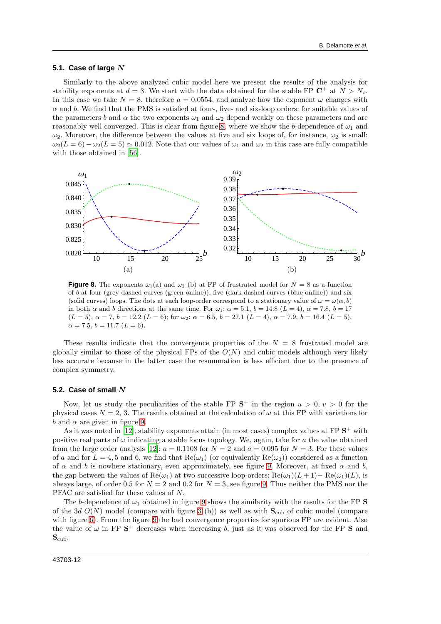#### **5.1. Case of large** N

Similarly to the above analyzed cubic model here we present the results of the analysis for stability exponents at  $d = 3$ . We start with the data obtained for the stable FP  $\mathbb{C}^+$  at  $N > N_c$ . In this case we take  $N = 8$ , therefore  $a = 0.0554$ , and analyze how the exponent  $\omega$  changes with  $\alpha$  and b. We find that the PMS is satisfied at four-, five- and six-loop orders: for suitable values of the parameters b and  $\alpha$  the two exponents  $\omega_1$  and  $\omega_2$  depend weakly on these parameters and are reasonably well converged. This is clear from figure [8,](#page-11-0) where we show the b-dependence of  $\omega_1$  and  $\omega_2$ . Moreover, the difference between the values at five and six loops of, for instance,  $\omega_2$  is small:  $\omega_2(L=6)-\omega_2(L=5) \simeq 0.012$ . Note that our values of  $\omega_1$  and  $\omega_2$  in this case are fully compatible with those obtained in [\[56\]](#page-14-38).



<span id="page-11-0"></span>**Figure 8.** The exponents  $\omega_1(a)$  and  $\omega_2(b)$  at FP of frustrated model for  $N = 8$  as a function of  $b$  at four (grey dashed curves (green online)), five (dark dashed curves (blue online)) and six (solid curves) loops. The dots at each loop-order correspond to a stationary value of  $\omega = \omega(\alpha, b)$ in both  $\alpha$  and b directions at the same time. For  $\omega_1$ :  $\alpha = 5.1$ ,  $b = 14.8$  ( $L = 4$ ),  $\alpha = 7.8$ ,  $b = 17$  $(L = 5), \alpha = 7, b = 12.2$   $(L = 6)$ ; for  $\omega_2$ :  $\alpha = 6.5, b = 27.1$   $(L = 4), \alpha = 7.9, b = 16.4$   $(L = 5)$ ,  $\alpha = 7.5, b = 11.7$   $(L = 6)$ .

These results indicate that the convergence properties of the  $N = 8$  frustrated model are globally similar to those of the physical FPs of the  $O(N)$  and cubic models although very likely less accurate because in the latter case the resummation is less efficient due to the presence of complex symmetry.

#### **5.2. Case of small** N

Now, let us study the peculiarities of the stable FP  $S^+$  in the region  $u > 0, v > 0$  for the physical cases  $N = 2, 3$ . The results obtained at the calculation of  $\omega$  at this FP with variations for b and  $\alpha$  are given in figure [9.](#page-12-1)

As it was noted in [\[12](#page-13-11)], stability exponents attain (in most cases) complex values at  $\text{FP } S^+$  with positive real parts of  $\omega$  indicating a stable focus topology. We, again, take for a the value obtained from the large order analysis [\[12](#page-13-11)]:  $a = 0.1108$  for  $N = 2$  and  $a = 0.095$  for  $N = 3$ . For these values of a and for  $L = 4, 5$  and 6, we find that  $\text{Re}(\omega_1)$  (or equivalently  $\text{Re}(\omega_2)$ ) considered as a function of  $\alpha$  and b is nowhere stationary, even approximately, see figure [9.](#page-12-1) Moreover, at fixed  $\alpha$  and b, the gap between the values of Re( $\omega_1$ ) at two successive loop-orders: Re( $\omega_1$ )(L + 1)− Re( $\omega_1$ )(L), is always large, of order 0.5 for  $N = 2$  and 0.2 for  $N = 3$ , see figure [9.](#page-12-1) Thus neither the PMS nor the PFAC are satisfied for these values of N.

The b-dependence of  $\omega_1$  obtained in figure [9](#page-12-1) shows the similarity with the results for the FP S of the [3](#page-6-0)d  $O(N)$  model (compare with figure 3 (b)) as well as with  $S_{\text{cub}}$  of cubic model (compare with figure [6\)](#page-9-1). From the figure [9](#page-12-1) the bad convergence properties for spurious FP are evident. Also the value of  $\omega$  in FP  $S^+$  decreases when increasing b, just as it was observed for the FP S and  $S<sub>cub</sub>$ .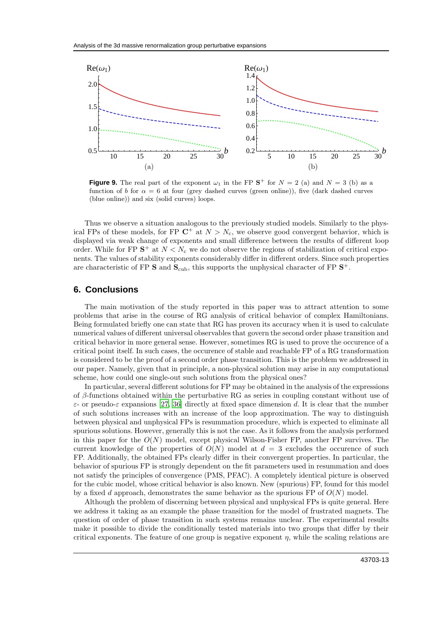

<span id="page-12-1"></span>**Figure 9.** The real part of the exponent  $\omega_1$  in the FP  $S^+$  for  $N = 2$  (a) and  $N = 3$  (b) as a function of b for  $\alpha = 6$  at four (grey dashed curves (green online)), five (dark dashed curves (blue online)) and six (solid curves) loops.

Thus we observe a situation analogous to the previously studied models. Similarly to the physical FPs of these models, for FP  $C^+$  at  $N > N_c$ , we observe good convergent behavior, which is displayed via weak change of exponents and small difference between the results of different loop order. While for FP  $S^+$  at  $N < N_c$  we do not observe the regions of stabilization of critical exponents. The values of stability exponents considerably differ in different orders. Since such properties are characteristic of FP S and  $S_{\text{cub}}$ , this supports the unphysical character of FP S<sup>+</sup>.

# <span id="page-12-0"></span>**6. Conclusions**

The main motivation of the study reported in this paper was to attract attention to some problems that arise in the course of RG analysis of critical behavior of complex Hamiltonians. Being formulated briefly one can state that RG has proven its accuracy when it is used to calculate numerical values of different universal observables that govern the second order phase transition and critical behavior in more general sense. However, sometimes RG is used to prove the occurence of a critical point itself. In such cases, the occurence of stable and reachable FP of a RG transformation is considered to be the proof of a second order phase transition. This is the problem we addressed in our paper. Namely, given that in principle, a non-physical solution may arise in any computational scheme, how could one single-out such solutions from the physical ones?

In particular, several different solutions for FP may be obtained in the analysis of the expressions of  $\beta$ -functions obtained within the perturbative RG as series in coupling constant without use of  $\varepsilon$ - or pseudo- $\varepsilon$  expansions [\[27](#page-14-9), [36](#page-14-18)] directly at fixed space dimension d. It is clear that the number of such solutions increases with an increase of the loop approximation. The way to distinguish between physical and unphysical FPs is resummation procedure, which is expected to eliminate all spurious solutions. However, generally this is not the case. As it follows from the analysis performed in this paper for the  $O(N)$  model, except physical Wilson-Fisher FP, another FP survives. The current knowledge of the properties of  $O(N)$  model at  $d = 3$  excludes the occurence of such FP. Additionally, the obtained FPs clearly differ in their convergent properties. In particular, the behavior of spurious FP is strongly dependent on the fit parameters used in resummation and does not satisfy the principles of convergence (PMS, PFAC). A completely identical picture is observed for the cubic model, whose critical behavior is also known. New (spurious) FP, found for this model by a fixed d approach, demonstrates the same behavior as the spurious FP of  $O(N)$  model.

Although the problem of discerning between physical and unphysical FPs is quite general. Here we address it taking as an example the phase transition for the model of frustrated magnets. The question of order of phase transition in such systems remains unclear. The experimental results make it possible to divide the conditionally tested materials into two groups that differ by their critical exponents. The feature of one group is negative exponent  $\eta$ , while the scaling relations are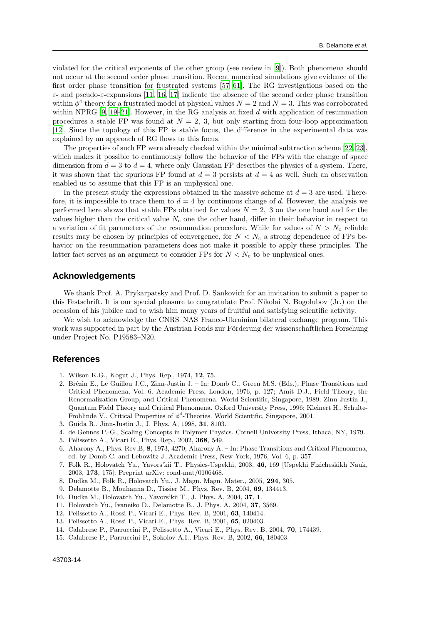violated for the critical exponents of the other group (see review in [\[9](#page-13-8)]). Both phenomena should not occur at the second order phase transition. Recent numerical simulations give evidence of the first order phase transition for frustrated systems [\[57](#page-14-39)[–61](#page-15-1)]. The RG investigations based on the ε- and pseudo-ε-expansions [\[11,](#page-13-10) [16,](#page-14-0) [17](#page-14-37)] indicate the absence of the second order phase transition within  $\phi^4$  theory for a frustrated model at physical values  $N = 2$  and  $N = 3$ . This was corroborated within NPRG  $[9, 19-21]$  $[9, 19-21]$  $[9, 19-21]$ . However, in the RG analysis at fixed d with application of resummation procedures a stable FP was found at  $N = 2, 3$ , but only starting from four-loop approximation [\[12\]](#page-13-11). Since the topology of this FP is stable focus, the difference in the experimental data was explained by an approach of RG flows to this focus.

The properties of such FP were already checked within the minimal subtraction scheme [\[22](#page-14-4), [23\]](#page-14-5), which makes it possible to continuously follow the behavior of the FPs with the change of space dimension from  $d = 3$  to  $d = 4$ , where only Gaussian FP describes the physics of a system. There, it was shown that the spurious FP found at  $d = 3$  persists at  $d = 4$  as well. Such an observation enabled us to assume that this FP is an unphysical one.

In the present study the expressions obtained in the massive scheme at  $d = 3$  are used. Therefore, it is impossible to trace them to  $d = 4$  by continuous change of d. However, the analysis we performed here shows that stable FPs obtained for values  $N = 2$ , 3 on the one hand and for the values higher than the critical value  $N_c$  one the other hand, differ in their behavior in respect to a variation of fit parameters of the resummation procedure. While for values of  $N > N_c$  reliable results may be chosen by principles of convergence, for  $N < N_c$  a strong dependence of FPs behavior on the resummation parameters does not make it possible to apply these principles. The latter fact serves as an argument to consider FPs for  $N < N_c$  to be unphysical ones.

# **Acknowledgements**

We thank Prof. A. Prykarpatsky and Prof. D. Sankovich for an invitation to submit a paper to this Festschrift. It is our special pleasure to congratulate Prof. Nikolai N. Bogolubov (Jr.) on the occasion of his jubilee and to wish him many years of fruitful and satisfying scientific activity.

We wish to acknowledge the CNRS–NAS Franco-Ukrainian bilateral exchange program. This work was supported in part by the Austrian Fonds zur Förderung der wissenschaftlichen Forschung under Project No. P19583–N20.

### **References**

- <span id="page-13-0"></span>1. Wilson K.G., Kogut J., Phys. Rep., 1974, 12, 75.
- <span id="page-13-1"></span>2. Br´ezin E., Le Guillou J.C., Zinn-Justin J. – In: Domb C., Green M.S. (Eds.), Phase Transitions and Critical Phenomena, Vol. 6. Academic Press, London, 1976, p. 127; Amit D.J., Field Theory, the Renormalization Group, and Critical Phenomena. World Scientific, Singapore, 1989; Zinn-Justin J., Quantum Field Theory and Critical Phenomena. Oxford University Press, 1996; Kleinert H., Schulte-Frohlinde V., Critical Properties of  $\phi^4$ -Theories. World Scientific, Singapore, 2001.
- <span id="page-13-2"></span>3. Guida R., Jinn-Justin J., J. Phys. A, 1998, 31, 8103.
- <span id="page-13-3"></span>4. de Gennes P.-G., Scaling Concepts in Polymer Physics. Cornell University Press, Ithaca, NY, 1979.
- <span id="page-13-4"></span>5. Pelissetto A., Vicari E., Phys. Rep., 2002, 368, 549.
- <span id="page-13-5"></span>6. Aharony A., Phys. Rev.B, 8, 1973, 4270; Aharony A. – In: Phase Transitions and Critical Phenomena, ed. by Domb C. and Lebowitz J. Academic Press, New York, 1976, Vol. 6, p. 357.
- <span id="page-13-6"></span>7. Folk R., Holovatch Yu., Yavors'kii T., Physics-Uspekhi, 2003, 46, 169 [Uspekhi Fizicheskikh Nauk, 2003, 173, 175]; Preprint arXiv: cond-mat/0106468.
- <span id="page-13-7"></span>8. Dudka M., Folk R., Holovatch Yu., J. Magn. Magn. Mater., 2005, 294, 305.
- <span id="page-13-8"></span>9. Delamotte B., Mouhanna D., Tissier M., Phys. Rev. B, 2004, 69, 134413.
- <span id="page-13-9"></span>10. Dudka M., Holovatch Yu., Yavors'kii T., J. Phys. A, 2004, 37, 1.
- <span id="page-13-10"></span>11. Holovatch Yu., Ivaneiko D., Delamotte B., J. Phys. A, 2004, 37, 3569.
- <span id="page-13-11"></span>12. Pelissetto A., Rossi P., Vicari E., Phys. Rev. B, 2001, 63, 140414.
- 13. Pelissetto A., Rossi P., Vicari E., Phys. Rev. B, 2001, 65, 020403.
- <span id="page-13-13"></span>14. Calabrese P., Parruccini P., Pelissetto A., Vicari E., Phys. Rev. B, 2004, 70, 174439.
- <span id="page-13-12"></span>15. Calabrese P., Parruccini P., Sokolov A.I., Phys. Rev. B, 2002, 66, 180403.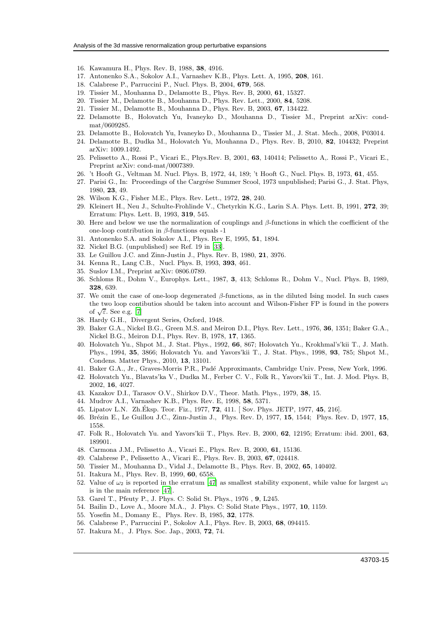- <span id="page-14-0"></span>16. Kawamura H., Phys. Rev. B, 1988, 38, 4916.
- <span id="page-14-37"></span>17. Antonenko S.A., Sokolov A.I., Varnashev K.B., Phys. Lett. A, 1995, 208, 161.
- <span id="page-14-1"></span>18. Calabrese P., Parruccini P., Nucl. Phys. B, 2004, 679, 568.
- <span id="page-14-2"></span>19. Tissier M., Mouhanna D., Delamotte B., Phys. Rev. B, 2000, 61, 15327.
- 20. Tissier M., Delamotte B., Mouhanna D., Phys. Rev. Lett., 2000, 84, 5208.
- <span id="page-14-3"></span>21. Tissier M., Delamotte B., Mouhanna D., Phys. Rev. B, 2003, 67, 134422.
- <span id="page-14-4"></span>22. Delamotte B., Holovatch Yu, Ivaneyko D., Mouhanna D., Tissier M., Preprint arXiv: condmat/0609285.
- <span id="page-14-5"></span>23. Delamotte B., Holovatch Yu, Ivaneyko D., Mouhanna D., Tissier M., J. Stat. Mech., 2008, P03014.
- <span id="page-14-6"></span>24. Delamotte B., Dudka M., Holovatch Yu, Mouhanna D., Phys. Rev. B, 2010, 82, 104432; Preprint arXiv: 1009.1492.
- <span id="page-14-7"></span>25. Pelissetto A., Rossi P., Vicari E., Phys.Rev. B, 2001, 63, 140414; Pelissetto A,. Rossi P., Vicari E., Preprint arXiv: cond-mat/0007389.
- <span id="page-14-8"></span>26. 't Hooft G., Veltman M. Nucl. Phys. B, 1972, 44, 189; 't Hooft G., Nucl. Phys. B, 1973, 61, 455.
- <span id="page-14-9"></span>27. Parisi G., In: Proceedings of the Cargrése Summer Scool, 1973 unpublished; Parisi G., J. Stat. Phys, 1980, 23, 49.
- <span id="page-14-10"></span>28. Wilson K.G., Fisher M.E., Phys. Rev. Lett., 1972, 28, 240.
- <span id="page-14-11"></span>29. Kleinert H., Neu J., Schulte-Frohlinde V., Chetyrkin K.G., Larin S.A. Phys. Lett. B, 1991, 272, 39; Erratum: Phys. Lett. B, 1993, 319, 545.
- <span id="page-14-12"></span>30. Here and below we use the normalization of couplings and β-functions in which the coefficient of the one-loop contribution in β-functions equals -1
- <span id="page-14-13"></span>31. Antonenko S.A. and Sokolov A.I., Phys. Rev E, 1995, 51, 1894.
- <span id="page-14-14"></span>32. Nickel B.G. (unpublished) see Ref. 19 in [\[33](#page-14-15)].
- <span id="page-14-15"></span>33. Le Guillou J.C. and Zinn-Justin J., Phys. Rev. B, 1980, 21, 3976.
- <span id="page-14-16"></span>34. Kenna R., Lang C.B., Nucl. Phys. B, 1993, 393, 461.
- <span id="page-14-17"></span>35. Suslov I.M., Preprint arXiv: 0806.0789.
- <span id="page-14-18"></span>36. Schloms R., Dohm V., Europhys. Lett., 1987, 3, 413; Schloms R., Dohm V., Nucl. Phys. B, 1989, 328, 639.
- <span id="page-14-19"></span>37. We omit the case of one-loop degenerated β-functions, as in the diluted Ising model. In such cases the two loop contibutios should be taken into account and Wilson-Fisher FP is found in the powers of  $\sqrt{\varepsilon}$ . See e.g. [\[7](#page-13-6)]
- <span id="page-14-20"></span>38. Hardy G.H., Divergent Series, Oxford, 1948.
- <span id="page-14-21"></span>39. Baker G.A., Nickel B.G., Green M.S. and Meiron D.I., Phys. Rev. Lett., 1976, 36, 1351; Baker G.A., Nickel B.G., Meiron D.I., Phys. Rev. B, 1978, 17, 1365.
- <span id="page-14-22"></span>40. Holovatch Yu., Shpot M., J. Stat. Phys., 1992, 66, 867; Holovatch Yu., Krokhmal's'kii T., J. Math. Phys., 1994, 35, 3866; Holovatch Yu. and Yavors'kii T., J. Stat. Phys., 1998, 93, 785; Shpot M., Condens. Matter Phys., 2010, 13, 13101.
- <span id="page-14-23"></span>41. Baker G.A., Jr., Graves-Morris P.R., Padé Approximants, Cambridge Univ. Press, New York, 1996.
- <span id="page-14-24"></span>42. Holovatch Yu., Blavats'ka V., Dudka M., Ferber C. V., Folk R., Yavors'kii T., Int. J. Mod. Phys. B, 2002, 16, 4027.
- <span id="page-14-25"></span>43. Kazakov D.I., Tarasov O.V., Shirkov D.V., Theor. Math. Phys., 1979, 38, 15.
- <span id="page-14-26"></span>44. Mudrov A.I., Varnashev K.B., Phys. Rev. E, 1998, 58, 5371.
- <span id="page-14-27"></span>45. Lipatov L.N. Zh.Éksp. Teor. Fiz., 1977, 72, 411. [ Sov. Phys. JETP, 1977, 45, 216].
- <span id="page-14-28"></span>46. Br´ezin E., Le Guillou J.C., Zinn-Justin J., Phys. Rev. D, 1977, 15, 1544; Phys. Rev. D, 1977, 15, 1558.
- <span id="page-14-29"></span>47. Folk R., Holovatch Yu. and Yavors'kii T., Phys. Rev. B, 2000, 62, 12195; Erratum: ibid. 2001, 63, 189901.
- <span id="page-14-30"></span>48. Carmona J.M., Pelissetto A., Vicari E., Phys. Rev. B, 2000, 61, 15136.
- <span id="page-14-31"></span>49. Calabrese P., Pelissetto A., Vicari E., Phys. Rev. B, 2003, 67, 024418.
- <span id="page-14-32"></span>50. Tissier M., Mouhanna D., Vidal J., Delamotte B., Phys. Rev. B, 2002, 65, 140402.
- <span id="page-14-33"></span>51. Itakura M., Phys. Rev. B, 1999, 60, 6558.
- <span id="page-14-34"></span>52. Value of  $\omega_2$  is reported in the erratum [\[47\]](#page-14-29) as smallest stability exponent, while value for largest  $\omega_1$ is in the main reference [\[47](#page-14-29)].
- <span id="page-14-35"></span>53. Garel T., Pfeuty P., J. Phys. C: Solid St. Phys., 1976 , 9, L245.
- 54. Bailin D., Love A., Moore M.A., J. Phys. C: Solid State Phys., 1977, 10, 1159.
- <span id="page-14-36"></span>55. Yosefin M., Domany E., Phys. Rev. B, 1985, 32, 1778.
- <span id="page-14-38"></span>56. Calabrese P., Parruccini P., Sokolov A.I., Phys. Rev. B, 2003, 68, 094415.
- <span id="page-14-39"></span>57. Itakura M., J. Phys. Soc. Jap., 2003, 72, 74.